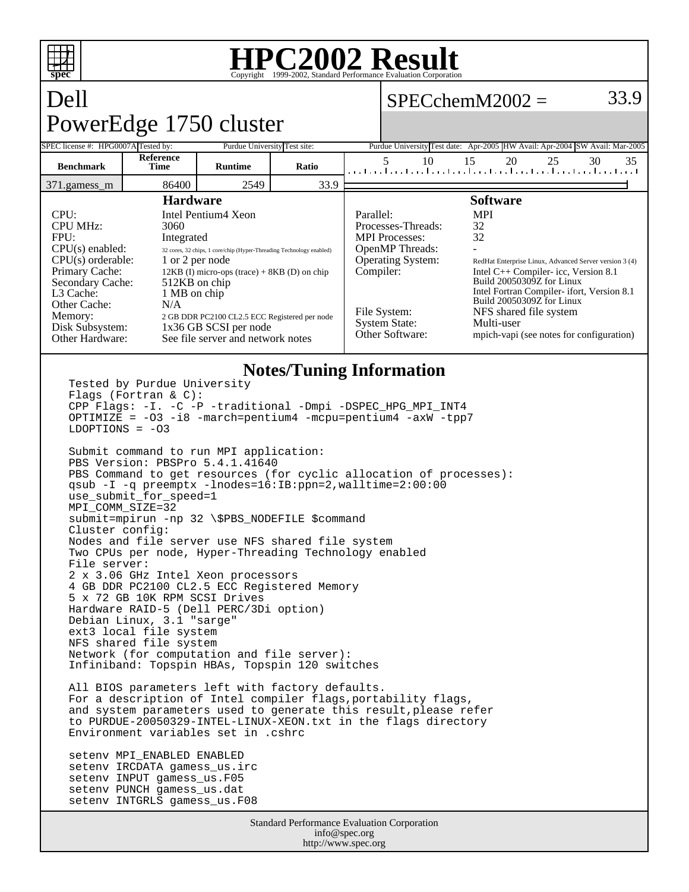

### **HPC2002 Result** Copyright ©1999-2002, Stand

 $SPECchemM2002 = 33.9$ 

## Dell PowerEdge 1750 cluster

| SPEC license #: HPG0007A Tested by:                            |                                                | Purdue University Test site:                                         |                    |                                      | Purdue University Test date: Apr-2005 HW Avail: Apr-2004 SW Avail: Mar-2005                         |
|----------------------------------------------------------------|------------------------------------------------|----------------------------------------------------------------------|--------------------|--------------------------------------|-----------------------------------------------------------------------------------------------------|
| <b>Benchmark</b>                                               | <b>Reference</b><br><b>Time</b>                | <b>Runtime</b>                                                       | Ratio              | 10                                   | 35<br>15<br>20<br>25<br>30<br>المتحاجين المتحاجين المتحاجين المتحاجين المتحاجين المتحاجين المتحاجين |
| 371.gamess m                                                   | 86400                                          | 2549                                                                 | 33.9               |                                      |                                                                                                     |
| <b>Hardware</b>                                                |                                                |                                                                      |                    | <b>Software</b>                      |                                                                                                     |
| CPU:                                                           | Intel Pentium4 Xeon                            |                                                                      |                    | Parallel:                            | <b>MPI</b>                                                                                          |
| <b>CPU MHz:</b>                                                | 3060                                           |                                                                      | Processes-Threads: | 32                                   |                                                                                                     |
| FPU:<br>Integrated                                             |                                                |                                                                      |                    | <b>MPI</b> Processes:                | 32                                                                                                  |
| $CPU(s)$ enabled:                                              |                                                | 32 cores, 32 chips, 1 core/chip (Hyper-Threading Technology enabled) |                    | <b>OpenMP</b> Threads:               |                                                                                                     |
| $CPU(s)$ orderable:                                            |                                                | 1 or 2 per node                                                      |                    | <b>Operating System:</b>             | RedHat Enterprise Linux, Advanced Server version 3 (4)                                              |
| Primary Cache:                                                 | $12KB$ (I) micro-ops (trace) + 8KB (D) on chip |                                                                      |                    | Compiler:                            | Intel $C++$ Compiler-icc, Version 8.1                                                               |
| Secondary Cache:                                               |                                                | 512KB on chip                                                        |                    |                                      | Build 20050309Z for Linux                                                                           |
| L3 Cache:                                                      | 1 MB on chip                                   |                                                                      |                    |                                      | Intel Fortran Compiler- ifort, Version 8.1                                                          |
| Other Cache:                                                   | N/A                                            |                                                                      |                    |                                      | Build 20050309Z for Linux                                                                           |
| Memory:                                                        |                                                | 2 GB DDR PC2100 CL2.5 ECC Registered per node                        |                    | File System:<br><b>System State:</b> | NFS shared file system<br>Multi-user                                                                |
| Disk Subsystem:                                                |                                                | 1x36 GB SCSI per node                                                |                    | Other Software:                      |                                                                                                     |
| Other Hardware:                                                |                                                | See file server and network notes                                    |                    |                                      | mpich-vapi (see notes for configuration)                                                            |
| <b>Notes/Tuning Information</b><br>Togtod by Durduo Univorgity |                                                |                                                                      |                    |                                      |                                                                                                     |

Tested by Purdue University Flags (Fortran & C): CPP Flags: -I. -C -P -traditional -Dmpi -DSPEC\_HPG\_MPI\_INT4 OPTIMIZE = -O3 -i8 -march=pentium4 -mcpu=pentium4 -axW -tpp7  $LDOPTIONS = -03$ Submit command to run MPI application: PBS Version: PBSPro 5.4.1.41640 PBS Command to get resources (for cyclic allocation of processes): qsub -I -q preemptx -lnodes=16:IB:ppn=2,walltime=2:00:00 use\_submit\_for\_speed=1 MPI\_COMM\_SIZE=32 submit=mpirun -np 32 \\$PBS\_NODEFILE \$command Cluster config: Nodes and file server use NFS shared file system Two CPUs per node, Hyper-Threading Technology enabled File server: 2 x 3.06 GHz Intel Xeon processors 4 GB DDR PC2100 CL2.5 ECC Registered Memory 5 x 72 GB 10K RPM SCSI Drives Hardware RAID-5 (Dell PERC/3Di option) Debian Linux, 3.1 "sarge" ext3 local file system NFS shared file system Network (for computation and file server): Infiniband: Topspin HBAs, Topspin 120 switches All BIOS parameters left with factory defaults. For a description of Intel compiler flags, portability flags, and system parameters used to generate this result, please refer to PURDUE-20050329-INTEL-LINUX-XEON.txt in the flags directory Environment variables set in .cshrc setenv MPI\_ENABLED ENABLED setenv IRCDATA gamess\_us.irc setenv INPUT gamess\_us.F05 setenv PUNCH gamess\_us.dat setenv INTGRLS gamess\_us.F08

> Standard Performance Evaluation Corporation info@spec.org http://www.spec.org